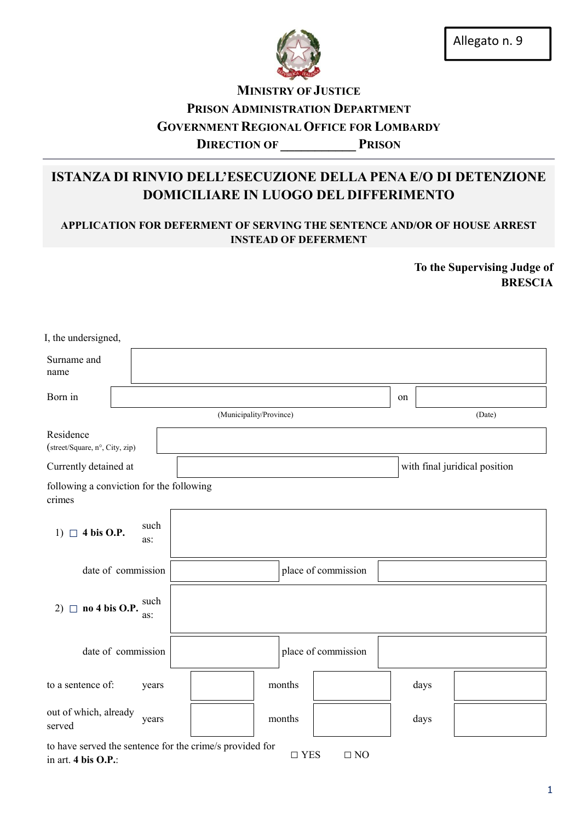

## **MINISTRY OF JUSTICE** PRISON ADMINISTRATION DEPARTMENT GOVERNMENT REGIONAL OFFICE FOR LOMBARDY DIRECTION OF PRISON

# ISTANZA DI RINVIO DELL'ESECUZIONE DELLA PENA E/O DI DETENZIONE DOMICILIARE IN LUOGO DEL DIFFERIMENTO

## APPLICATION FOR DEFERMENT OF SERVING THE SENTENCE AND/OR OF HOUSE ARREST INSTEAD OF DEFERMENT

To the Supervising Judge of BRESCIA

| I, the undersigned,                                      |                    |  |                     |                         |  |        |                     |                               |    |      |        |
|----------------------------------------------------------|--------------------|--|---------------------|-------------------------|--|--------|---------------------|-------------------------------|----|------|--------|
| Surname and<br>name                                      |                    |  |                     |                         |  |        |                     |                               |    |      |        |
| Born in                                                  |                    |  |                     |                         |  |        |                     |                               | on |      |        |
|                                                          |                    |  |                     | (Municipality/Province) |  |        |                     |                               |    |      | (Date) |
| Residence<br>(street/Square, n°, City, zip)              |                    |  |                     |                         |  |        |                     |                               |    |      |        |
| Currently detained at                                    |                    |  |                     |                         |  |        |                     | with final juridical position |    |      |        |
| following a conviction for the following<br>crimes       |                    |  |                     |                         |  |        |                     |                               |    |      |        |
| $\Box$ 4 bis O.P.<br>1)                                  | such<br>as:        |  |                     |                         |  |        |                     |                               |    |      |        |
| date of commission                                       |                    |  | place of commission |                         |  |        |                     |                               |    |      |        |
| no 4 bis O.P.<br>$2)$ $\Box$                             | such<br>as:        |  |                     |                         |  |        |                     |                               |    |      |        |
|                                                          | date of commission |  |                     |                         |  |        | place of commission |                               |    |      |        |
| to a sentence of:                                        | years              |  |                     |                         |  | months |                     |                               |    | days |        |
| out of which, already<br>served                          | years              |  |                     |                         |  | months |                     |                               |    | days |        |
| to have served the sentence for the crime/s provided for |                    |  |                     |                         |  |        |                     |                               |    |      |        |

in art. 4 bis O.P.:  $\square$  YES  $\square$  NO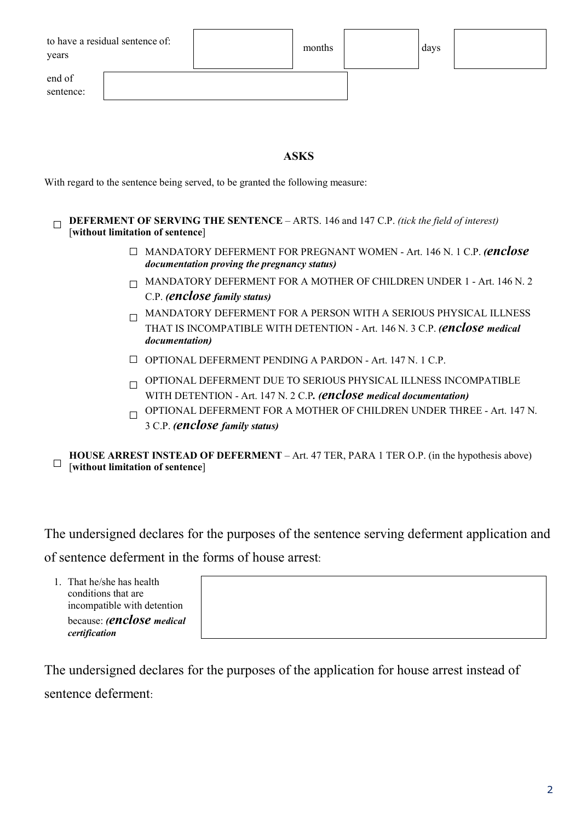| to have a residual sentence of:<br>years | months | days |  |
|------------------------------------------|--------|------|--|
| end of<br>sentence:                      |        |      |  |

### ASKS

With regard to the sentence being served, to be granted the following measure:

**DEFERMENT OF SERVING THE SENTENCE** – ARTS. 146 and 147 C.P. *(tick the field of interest)* [without limitation of sentence]

- □ MANDATORY DEFERMENT FOR PREGNANT WOMEN Art. 146 N. 1 C.P. *(enclose documentation proving the pregnancy status)*
- $\Box$  MANDATORY DEFERMENT FOR A MOTHER OF CHILDREN UNDER 1 Art. 146 N. 2 C.P. *(enclose family status)*
- $\Box$ MANDATORY DEFERMENT FOR A PERSON WITH A SERIOUS PHYSICAL ILLNESS THAT IS INCOMPATIBLE WITH DETENTION - Art. 146 N. 3 C.P. *(enclose medical documentation)*
- $\Box$  OPTIONAL DEFERMENT PENDING A PARDON Art. 147 N, 1 C.P.
- $\Box$  OPTIONAL DEFERMENT DUE TO SERIOUS PHYSICAL ILLNESS INCOMPATIBLE WITH DETENTION - Art. 147 N. 2 C.P*. (enclose medical documentation)*
- $\Box$  OPTIONAL DEFERMENT FOR A MOTHER OF CHILDREN UNDER THREE Art. 147 N. 3 C.P. *(enclose family status)*

□ [without limitation of sentence] HOUSE ARREST INSTEAD OF DEFERMENT – Art. 47 TER, PARA 1 TER O.P. (in the hypothesis above)

The undersigned declares for the purposes of the sentence serving deferment application and of sentence deferment in the forms of house arrest:

1. That he/she has health conditions that are incompatible with detention because: *(enclose medical certification*

The undersigned declares for the purposes of the application for house arrest instead of sentence deferment: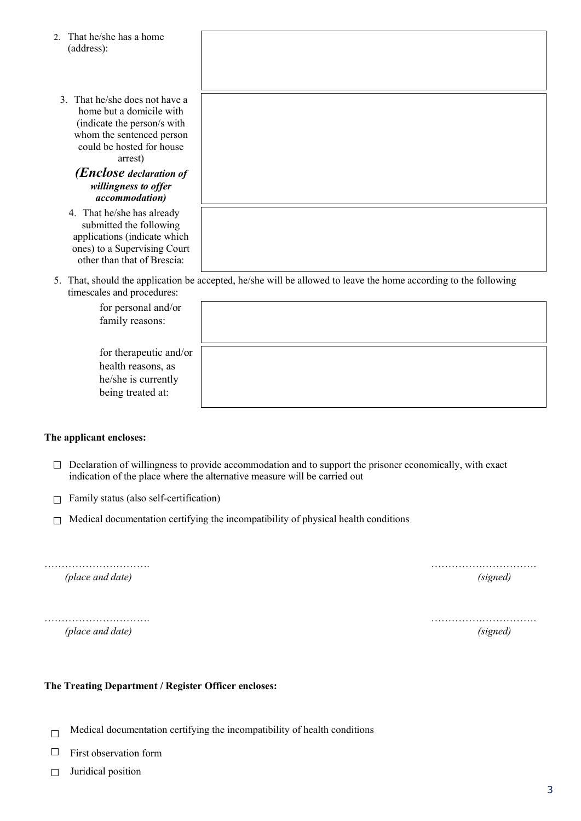| That he/she has a home<br>$\mathfrak{D}$<br>(address):                                                                                                                                    |                                                                                                                  |
|-------------------------------------------------------------------------------------------------------------------------------------------------------------------------------------------|------------------------------------------------------------------------------------------------------------------|
| 3. That he/she does not have a<br>home but a domicile with<br>(indicate the person/s with<br>whom the sentenced person<br>could be hosted for house<br>arrest)<br>(Enclose declaration of |                                                                                                                  |
| willingness to offer<br>accommodation)                                                                                                                                                    |                                                                                                                  |
| 4. That he/she has already<br>submitted the following<br>applications (indicate which<br>ones) to a Supervising Court<br>other than that of Brescia:                                      |                                                                                                                  |
| timescales and procedures:                                                                                                                                                                | 5. That, should the application be accepted, he/she will be allowed to leave the home according to the following |
| for personal and/or                                                                                                                                                                       |                                                                                                                  |

| for personal and/or<br>family reasons:                                                   |  |
|------------------------------------------------------------------------------------------|--|
| for therapeutic and/or<br>health reasons, as<br>he/she is currently<br>being treated at: |  |

### The applicant encloses:

- $\Box$  Declaration of willingness to provide accommodation and to support the prisoner economically, with exact indication of the place where the alternative measure will be carried out
- $\Box$  Family status (also self-certification)
- $\Box$  Medical documentation certifying the incompatibility of physical health conditions

| (place and date) | <i>(signed)</i> |
|------------------|-----------------|
|                  |                 |
|                  |                 |
|                  |                 |

*(place and date) (signed)*

### The Treating Department / Register Officer encloses:

- $\Box$ Medical documentation certifying the incompatibility of health conditions
- □ First observation form
- □ Juridical position